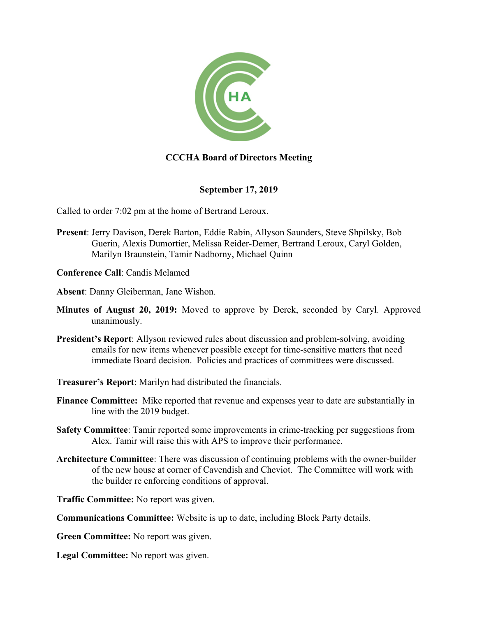

## **CCCHA Board of Directors Meeting**

## **September 17, 2019**

Called to order 7:02 pm at the home of Bertrand Leroux.

- **Present**: Jerry Davison, Derek Barton, Eddie Rabin, Allyson Saunders, Steve Shpilsky, Bob Guerin, Alexis Dumortier, Melissa Reider-Demer, Bertrand Leroux, Caryl Golden, Marilyn Braunstein, Tamir Nadborny, Michael Quinn
- **Conference Call**: Candis Melamed
- **Absent**: Danny Gleiberman, Jane Wishon.
- **Minutes of August 20, 2019:** Moved to approve by Derek, seconded by Caryl. Approved unanimously.
- **President's Report**: Allyson reviewed rules about discussion and problem-solving, avoiding emails for new items whenever possible except for time-sensitive matters that need immediate Board decision. Policies and practices of committees were discussed.
- **Treasurer's Report**: Marilyn had distributed the financials.
- **Finance Committee:** Mike reported that revenue and expenses year to date are substantially in line with the 2019 budget.
- **Safety Committee**: Tamir reported some improvements in crime-tracking per suggestions from Alex. Tamir will raise this with APS to improve their performance.
- **Architecture Committee**: There was discussion of continuing problems with the owner-builder of the new house at corner of Cavendish and Cheviot. The Committee will work with the builder re enforcing conditions of approval.
- **Traffic Committee:** No report was given.
- **Communications Committee:** Website is up to date, including Block Party details.
- **Green Committee:** No report was given.
- **Legal Committee:** No report was given.